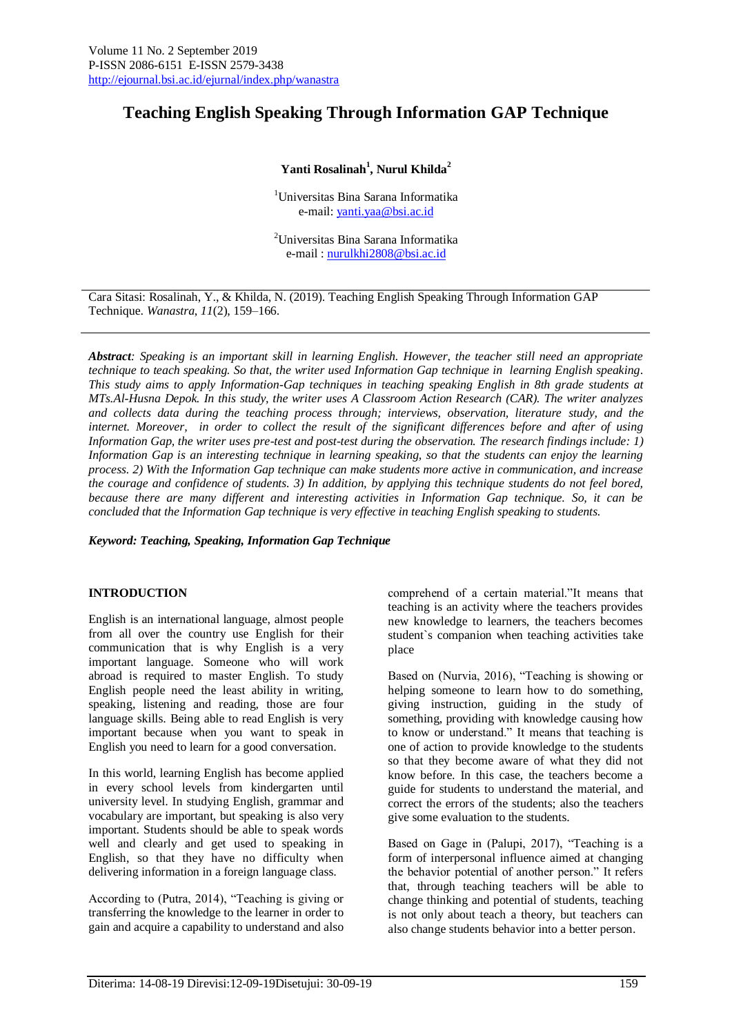# **Teaching English Speaking Through Information GAP Technique**

## **Yanti Rosalinah<sup>1</sup> , Nurul Khilda<sup>2</sup>**

<sup>1</sup>Universitas Bina Sarana Informatika e-mail[: yanti.yaa@bsi.ac.id](mailto:yanti.yaa@bsi.ac.id)

<sup>2</sup>Universitas Bina Sarana Informatika e-mail : [nurulkhi2808@bsi.ac.id](mailto:nurulkhi2808@bsi.ac.id)

Cara Sitasi: Rosalinah, Y., & Khilda, N. (2019). Teaching English Speaking Through Information GAP Technique. *Wanastra*, *11*(2), 159–166.

*Abstract: Speaking is an important skill in learning English. However, the teacher still need an appropriate technique to teach speaking. So that, the writer used Information Gap technique in learning English speaking. This study aims to apply Information-Gap techniques in teaching speaking English in 8th grade students at MTs.Al-Husna Depok. In this study, the writer uses A Classroom Action Research (CAR). The writer analyzes and collects data during the teaching process through; interviews, observation, literature study, and the internet. Moreover, in order to collect the result of the significant differences before and after of using Information Gap, the writer uses pre-test and post-test during the observation. The research findings include: 1) Information Gap is an interesting technique in learning speaking, so that the students can enjoy the learning process. 2) With the Information Gap technique can make students more active in communication, and increase the courage and confidence of students. 3) In addition, by applying this technique students do not feel bored, because there are many different and interesting activities in Information Gap technique. So, it can be concluded that the Information Gap technique is very effective in teaching English speaking to students.*

*Keyword: Teaching, Speaking, Information Gap Technique*

#### **INTRODUCTION**

English is an international language, almost people from all over the country use English for their communication that is why English is a very important language. Someone who will work abroad is required to master English. To study English people need the least ability in writing, speaking, listening and reading, those are four language skills. Being able to read English is very important because when you want to speak in English you need to learn for a good conversation.

In this world, learning English has become applied in every school levels from kindergarten until university level. In studying English, grammar and vocabulary are important, but speaking is also very important. Students should be able to speak words well and clearly and get used to speaking in English, so that they have no difficulty when delivering information in a foreign language class.

According to (Putra, 2014), "Teaching is giving or transferring the knowledge to the learner in order to gain and acquire a capability to understand and also

comprehend of a certain material."It means that teaching is an activity where the teachers provides new knowledge to learners, the teachers becomes student`s companion when teaching activities take place

Based on (Nurvia, 2016), "Teaching is showing or helping someone to learn how to do something. giving instruction, guiding in the study of something, providing with knowledge causing how to know or understand." It means that teaching is one of action to provide knowledge to the students so that they become aware of what they did not know before. In this case, the teachers become a guide for students to understand the material, and correct the errors of the students; also the teachers give some evaluation to the students.

Based on Gage in (Palupi, 2017), "Teaching is a form of interpersonal influence aimed at changing the behavior potential of another person." It refers that, through teaching teachers will be able to change thinking and potential of students, teaching is not only about teach a theory, but teachers can also change students behavior into a better person.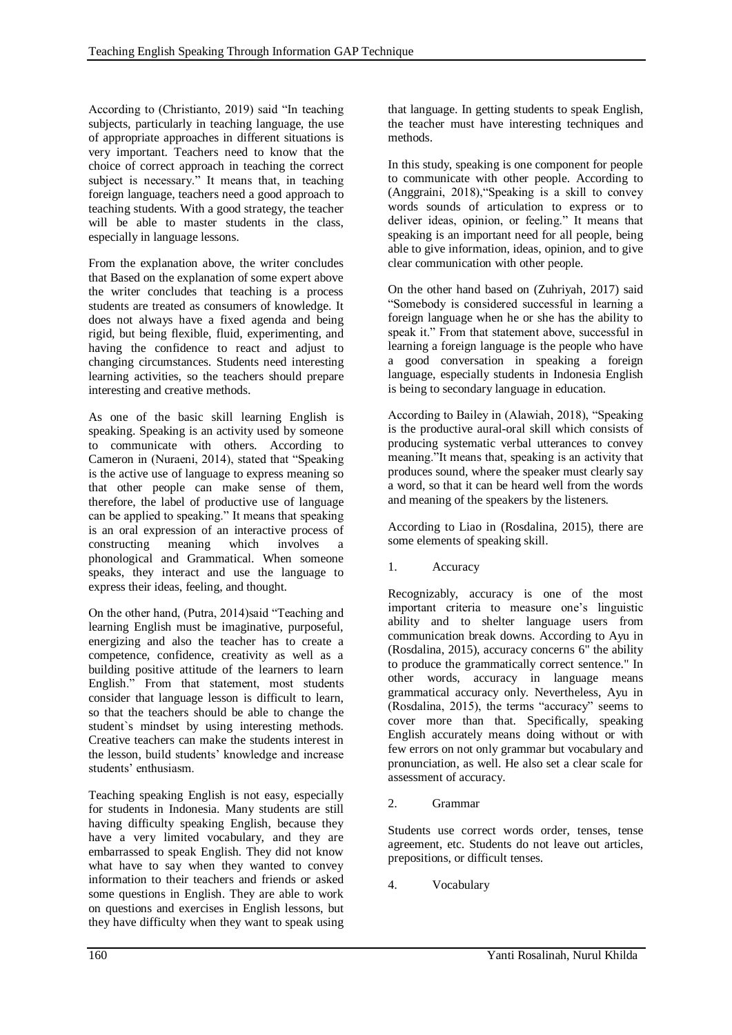According to (Christianto, 2019) said "In teaching subjects, particularly in teaching language, the use of appropriate approaches in different situations is very important. Teachers need to know that the choice of correct approach in teaching the correct subject is necessary." It means that, in teaching foreign language, teachers need a good approach to teaching students. With a good strategy, the teacher will be able to master students in the class, especially in language lessons.

From the explanation above, the writer concludes that Based on the explanation of some expert above the writer concludes that teaching is a process students are treated as consumers of knowledge. It does not always have a fixed agenda and being rigid, but being flexible, fluid, experimenting, and having the confidence to react and adjust to changing circumstances. Students need interesting learning activities, so the teachers should prepare interesting and creative methods.

As one of the basic skill learning English is speaking. Speaking is an activity used by someone to communicate with others. According to Cameron in (Nuraeni, 2014), stated that "Speaking is the active use of language to express meaning so that other people can make sense of them, therefore, the label of productive use of language can be applied to speaking." It means that speaking is an oral expression of an interactive process of constructing meaning which involves a phonological and Grammatical. When someone speaks, they interact and use the language to express their ideas, feeling, and thought.

On the other hand, (Putra, 2014)said "Teaching and learning English must be imaginative, purposeful, energizing and also the teacher has to create a competence, confidence, creativity as well as a building positive attitude of the learners to learn English." From that statement, most students consider that language lesson is difficult to learn, so that the teachers should be able to change the student`s mindset by using interesting methods. Creative teachers can make the students interest in the lesson, build students' knowledge and increase students' enthusiasm.

Teaching speaking English is not easy, especially for students in Indonesia. Many students are still having difficulty speaking English, because they have a very limited vocabulary, and they are embarrassed to speak English. They did not know what have to say when they wanted to convey information to their teachers and friends or asked some questions in English. They are able to work on questions and exercises in English lessons, but they have difficulty when they want to speak using

that language. In getting students to speak English, the teacher must have interesting techniques and methods.

In this study, speaking is one component for people to communicate with other people. According to (Anggraini, 2018),"Speaking is a skill to convey words sounds of articulation to express or to deliver ideas, opinion, or feeling." It means that speaking is an important need for all people, being able to give information, ideas, opinion, and to give clear communication with other people.

On the other hand based on (Zuhriyah, 2017) said "Somebody is considered successful in learning a foreign language when he or she has the ability to speak it." From that statement above, successful in learning a foreign language is the people who have a good conversation in speaking a foreign language, especially students in Indonesia English is being to secondary language in education.

According to Bailey in (Alawiah, 2018), "Speaking is the productive aural-oral skill which consists of producing systematic verbal utterances to convey meaning."It means that, speaking is an activity that produces sound, where the speaker must clearly say a word, so that it can be heard well from the words and meaning of the speakers by the listeners.

According to Liao in (Rosdalina, 2015), there are some elements of speaking skill.

1. Accuracy

Recognizably, accuracy is one of the most important criteria to measure one's linguistic ability and to shelter language users from communication break downs. According to Ayu in (Rosdalina, 2015), accuracy concerns 6" the ability to produce the grammatically correct sentence." In other words, accuracy in language means grammatical accuracy only. Nevertheless, Ayu in (Rosdalina, 2015), the terms "accuracy" seems to cover more than that. Specifically, speaking English accurately means doing without or with few errors on not only grammar but vocabulary and pronunciation, as well. He also set a clear scale for assessment of accuracy.

2. Grammar

Students use correct words order, tenses, tense agreement, etc. Students do not leave out articles, prepositions, or difficult tenses.

4. Vocabulary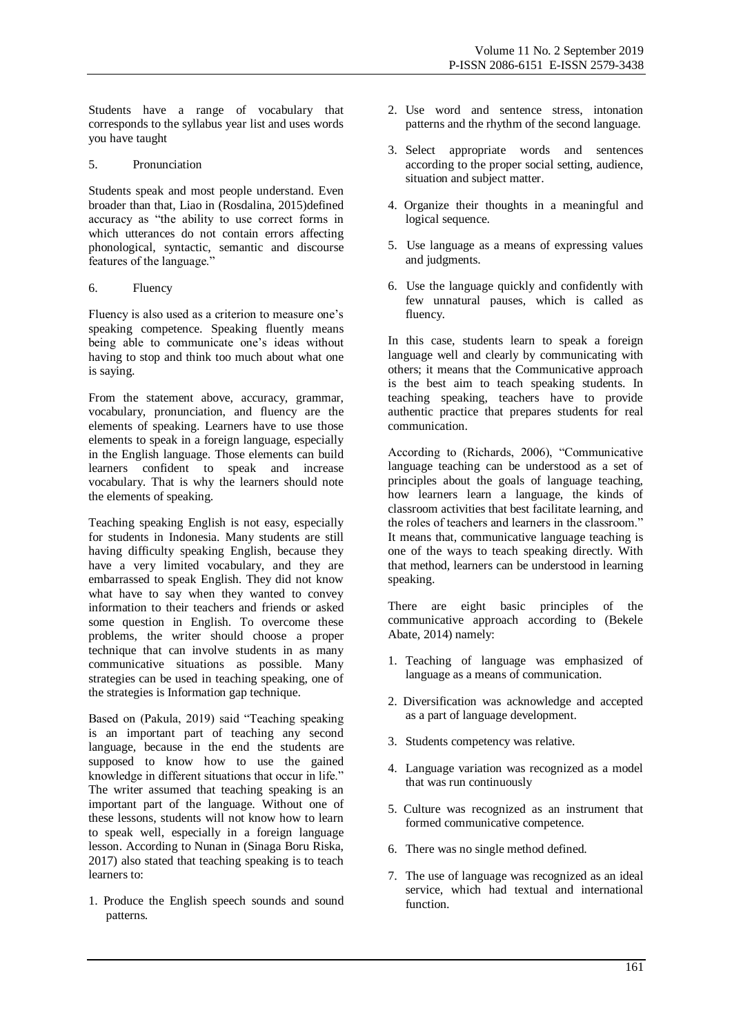Students have a range of vocabulary that corresponds to the syllabus year list and uses words you have taught

#### 5. Pronunciation

Students speak and most people understand. Even broader than that, Liao in (Rosdalina, 2015)defined accuracy as "the ability to use correct forms in which utterances do not contain errors affecting phonological, syntactic, semantic and discourse features of the language.'

#### 6. Fluency

Fluency is also used as a criterion to measure one's speaking competence. Speaking fluently means being able to communicate one's ideas without having to stop and think too much about what one is saying.

From the statement above, accuracy, grammar, vocabulary, pronunciation, and fluency are the elements of speaking. Learners have to use those elements to speak in a foreign language, especially in the English language. Those elements can build learners confident to speak and increase vocabulary. That is why the learners should note the elements of speaking.

Teaching speaking English is not easy, especially for students in Indonesia. Many students are still having difficulty speaking English, because they have a very limited vocabulary, and they are embarrassed to speak English. They did not know what have to say when they wanted to convey information to their teachers and friends or asked some question in English. To overcome these problems, the writer should choose a proper technique that can involve students in as many communicative situations as possible. Many strategies can be used in teaching speaking, one of the strategies is Information gap technique.

Based on (Pakula, 2019) said "Teaching speaking is an important part of teaching any second language, because in the end the students are supposed to know how to use the gained knowledge in different situations that occur in life." The writer assumed that teaching speaking is an important part of the language. Without one of these lessons, students will not know how to learn to speak well, especially in a foreign language lesson. According to Nunan in (Sinaga Boru Riska, 2017) also stated that teaching speaking is to teach learners to:

1. Produce the English speech sounds and sound patterns.

- 2. Use word and sentence stress, intonation patterns and the rhythm of the second language.
- 3. Select appropriate words and sentences according to the proper social setting, audience, situation and subject matter.
- 4. Organize their thoughts in a meaningful and logical sequence.
- 5. Use language as a means of expressing values and judgments.
- 6. Use the language quickly and confidently with few unnatural pauses, which is called as fluency.

In this case, students learn to speak a foreign language well and clearly by communicating with others; it means that the Communicative approach is the best aim to teach speaking students. In teaching speaking, teachers have to provide authentic practice that prepares students for real communication.

According to (Richards, 2006), "Communicative language teaching can be understood as a set of principles about the goals of language teaching, how learners learn a language, the kinds of classroom activities that best facilitate learning, and the roles of teachers and learners in the classroom." It means that, communicative language teaching is one of the ways to teach speaking directly. With that method, learners can be understood in learning speaking.

There are eight basic principles of the communicative approach according to (Bekele Abate, 2014) namely:

- 1. Teaching of language was emphasized of language as a means of communication.
- 2. Diversification was acknowledge and accepted as a part of language development.
- 3. Students competency was relative.
- 4. Language variation was recognized as a model that was run continuously
- 5. Culture was recognized as an instrument that formed communicative competence.
- 6. There was no single method defined.
- 7. The use of language was recognized as an ideal service, which had textual and international function.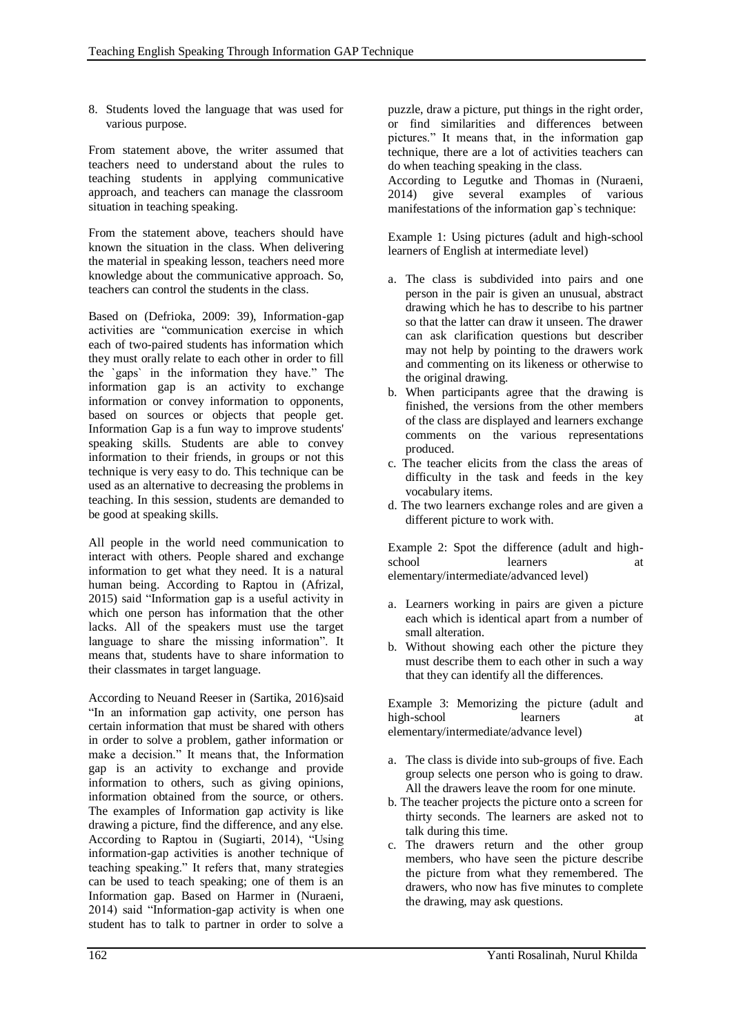8. Students loved the language that was used for various purpose.

From statement above, the writer assumed that teachers need to understand about the rules to teaching students in applying communicative approach, and teachers can manage the classroom situation in teaching speaking.

From the statement above, teachers should have known the situation in the class. When delivering the material in speaking lesson, teachers need more knowledge about the communicative approach. So, teachers can control the students in the class.

Based on (Defrioka, 2009: 39), Information-gap activities are "communication exercise in which each of two-paired students has information which they must orally relate to each other in order to fill the `gaps` in the information they have." The information gap is an activity to exchange information or convey information to opponents, based on sources or objects that people get. Information Gap is a fun way to improve students' speaking skills. Students are able to convey information to their friends, in groups or not this technique is very easy to do. This technique can be used as an alternative to decreasing the problems in teaching. In this session, students are demanded to be good at speaking skills.

All people in the world need communication to interact with others. People shared and exchange information to get what they need. It is a natural human being. According to Raptou in (Afrizal, 2015) said "Information gap is a useful activity in which one person has information that the other lacks. All of the speakers must use the target language to share the missing information". It means that, students have to share information to their classmates in target language.

According to Neuand Reeser in (Sartika, 2016)said "In an information gap activity, one person has certain information that must be shared with others in order to solve a problem, gather information or make a decision." It means that, the Information gap is an activity to exchange and provide information to others, such as giving opinions, information obtained from the source, or others. The examples of Information gap activity is like drawing a picture, find the difference, and any else. According to Raptou in (Sugiarti, 2014), "Using information-gap activities is another technique of teaching speaking." It refers that, many strategies can be used to teach speaking; one of them is an Information gap. Based on Harmer in (Nuraeni, 2014) said "Information-gap activity is when one student has to talk to partner in order to solve a

puzzle, draw a picture, put things in the right order, or find similarities and differences between pictures." It means that, in the information gap technique, there are a lot of activities teachers can do when teaching speaking in the class.

According to Legutke and Thomas in (Nuraeni, 2014) give several examples of various manifestations of the information gap`s technique:

Example 1: Using pictures (adult and high-school learners of English at intermediate level)

- a. The class is subdivided into pairs and one person in the pair is given an unusual, abstract drawing which he has to describe to his partner so that the latter can draw it unseen. The drawer can ask clarification questions but describer may not help by pointing to the drawers work and commenting on its likeness or otherwise to the original drawing.
- b. When participants agree that the drawing is finished, the versions from the other members of the class are displayed and learners exchange comments on the various representations produced.
- c. The teacher elicits from the class the areas of difficulty in the task and feeds in the key vocabulary items.
- d. The two learners exchange roles and are given a different picture to work with.

Example 2: Spot the difference (adult and highschool learners elementary/intermediate/advanced level)

- a. Learners working in pairs are given a picture each which is identical apart from a number of small alteration.
- b. Without showing each other the picture they must describe them to each other in such a way that they can identify all the differences.

Example 3: Memorizing the picture (adult and high-school learners at elementary/intermediate/advance level)

- a. The class is divide into sub-groups of five. Each group selects one person who is going to draw. All the drawers leave the room for one minute.
- b. The teacher projects the picture onto a screen for thirty seconds. The learners are asked not to talk during this time.
- c. The drawers return and the other group members, who have seen the picture describe the picture from what they remembered. The drawers, who now has five minutes to complete the drawing, may ask questions.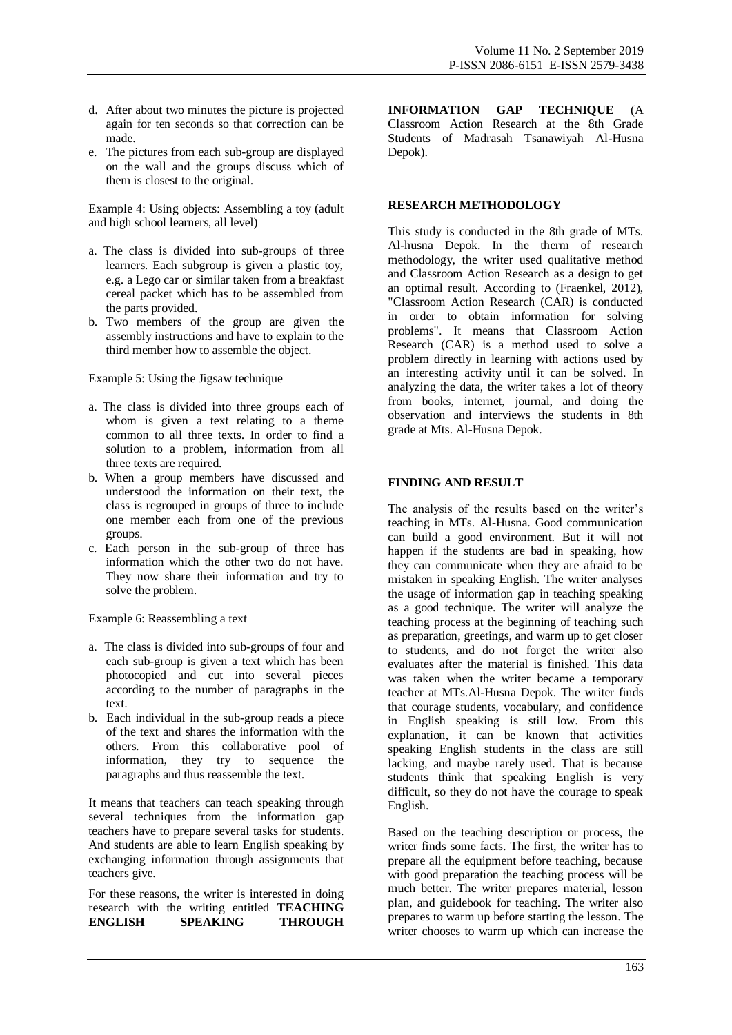- d. After about two minutes the picture is projected again for ten seconds so that correction can be made.
- e. The pictures from each sub-group are displayed on the wall and the groups discuss which of them is closest to the original.

Example 4: Using objects: Assembling a toy (adult and high school learners, all level)

- a. The class is divided into sub-groups of three learners. Each subgroup is given a plastic toy, e.g. a Lego car or similar taken from a breakfast cereal packet which has to be assembled from the parts provided.
- b. Two members of the group are given the assembly instructions and have to explain to the third member how to assemble the object.

Example 5: Using the Jigsaw technique

- a. The class is divided into three groups each of whom is given a text relating to a theme common to all three texts. In order to find a solution to a problem, information from all three texts are required.
- b. When a group members have discussed and understood the information on their text, the class is regrouped in groups of three to include one member each from one of the previous groups.
- c. Each person in the sub-group of three has information which the other two do not have. They now share their information and try to solve the problem.

Example 6: Reassembling a text

- a. The class is divided into sub-groups of four and each sub-group is given a text which has been photocopied and cut into several pieces according to the number of paragraphs in the text.
- b. Each individual in the sub-group reads a piece of the text and shares the information with the others. From this collaborative pool of information, they try to sequence the paragraphs and thus reassemble the text.

It means that teachers can teach speaking through several techniques from the information gap teachers have to prepare several tasks for students. And students are able to learn English speaking by exchanging information through assignments that teachers give.

For these reasons, the writer is interested in doing research with the writing entitled **TEACHING ENGLISH SPEAKING THROUGH**  **INFORMATION GAP TECHNIQUE** (A Classroom Action Research at the 8th Grade Students of Madrasah Tsanawiyah Al-Husna Depok).

## **RESEARCH METHODOLOGY**

This study is conducted in the 8th grade of MTs. Al-husna Depok. In the therm of research methodology, the writer used qualitative method and Classroom Action Research as a design to get an optimal result. According to (Fraenkel, 2012), "Classroom Action Research (CAR) is conducted in order to obtain information for solving problems". It means that Classroom Action Research (CAR) is a method used to solve a problem directly in learning with actions used by an interesting activity until it can be solved. In analyzing the data, the writer takes a lot of theory from books, internet, journal, and doing the observation and interviews the students in 8th grade at Mts. Al-Husna Depok.

## **FINDING AND RESULT**

The analysis of the results based on the writer's teaching in MTs. Al-Husna. Good communication can build a good environment. But it will not happen if the students are bad in speaking, how they can communicate when they are afraid to be mistaken in speaking English. The writer analyses the usage of information gap in teaching speaking as a good technique. The writer will analyze the teaching process at the beginning of teaching such as preparation, greetings, and warm up to get closer to students, and do not forget the writer also evaluates after the material is finished. This data was taken when the writer became a temporary teacher at MTs.Al-Husna Depok. The writer finds that courage students, vocabulary, and confidence in English speaking is still low. From this explanation, it can be known that activities speaking English students in the class are still lacking, and maybe rarely used. That is because students think that speaking English is very difficult, so they do not have the courage to speak English.

Based on the teaching description or process, the writer finds some facts. The first, the writer has to prepare all the equipment before teaching, because with good preparation the teaching process will be much better. The writer prepares material, lesson plan, and guidebook for teaching. The writer also prepares to warm up before starting the lesson. The writer chooses to warm up which can increase the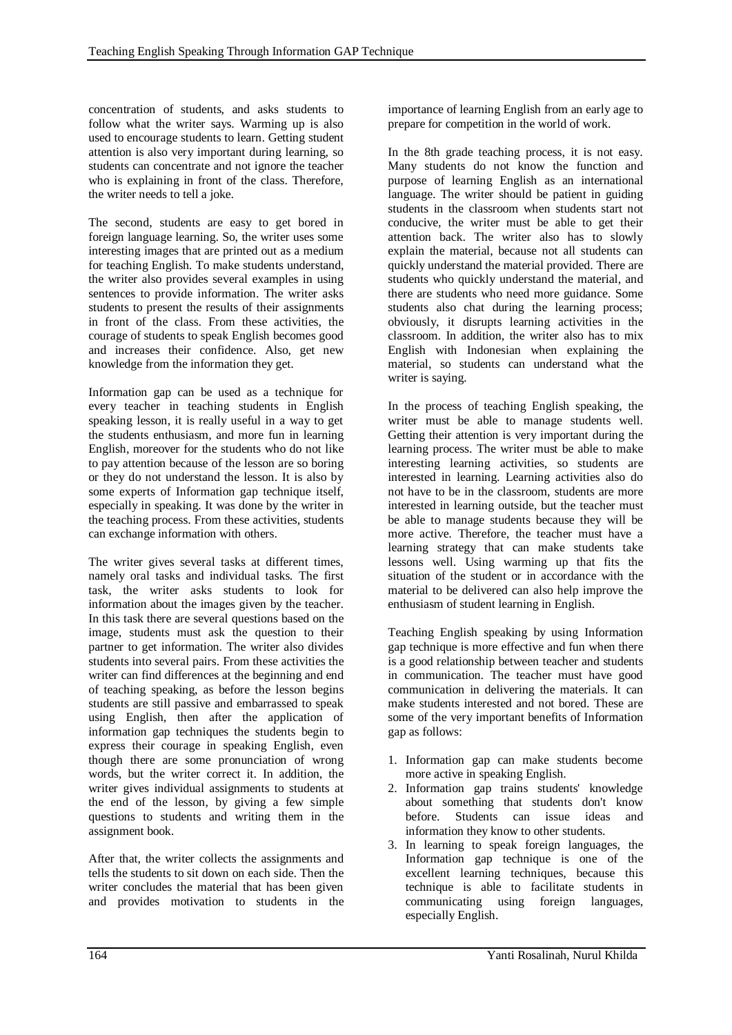concentration of students, and asks students to follow what the writer says. Warming up is also used to encourage students to learn. Getting student attention is also very important during learning, so students can concentrate and not ignore the teacher who is explaining in front of the class. Therefore, the writer needs to tell a joke.

The second, students are easy to get bored in foreign language learning. So, the writer uses some interesting images that are printed out as a medium for teaching English. To make students understand, the writer also provides several examples in using sentences to provide information. The writer asks students to present the results of their assignments in front of the class. From these activities, the courage of students to speak English becomes good and increases their confidence. Also, get new knowledge from the information they get.

Information gap can be used as a technique for every teacher in teaching students in English speaking lesson, it is really useful in a way to get the students enthusiasm, and more fun in learning English, moreover for the students who do not like to pay attention because of the lesson are so boring or they do not understand the lesson. It is also by some experts of Information gap technique itself, especially in speaking. It was done by the writer in the teaching process. From these activities, students can exchange information with others.

The writer gives several tasks at different times, namely oral tasks and individual tasks. The first task, the writer asks students to look for information about the images given by the teacher. In this task there are several questions based on the image, students must ask the question to their partner to get information. The writer also divides students into several pairs. From these activities the writer can find differences at the beginning and end of teaching speaking, as before the lesson begins students are still passive and embarrassed to speak using English, then after the application of information gap techniques the students begin to express their courage in speaking English, even though there are some pronunciation of wrong words, but the writer correct it. In addition, the writer gives individual assignments to students at the end of the lesson, by giving a few simple questions to students and writing them in the assignment book.

After that, the writer collects the assignments and tells the students to sit down on each side. Then the writer concludes the material that has been given and provides motivation to students in the

importance of learning English from an early age to prepare for competition in the world of work.

In the 8th grade teaching process, it is not easy. Many students do not know the function and purpose of learning English as an international language. The writer should be patient in guiding students in the classroom when students start not conducive, the writer must be able to get their attention back. The writer also has to slowly explain the material, because not all students can quickly understand the material provided. There are students who quickly understand the material, and there are students who need more guidance. Some students also chat during the learning process; obviously, it disrupts learning activities in the classroom. In addition, the writer also has to mix English with Indonesian when explaining the material, so students can understand what the writer is saying.

In the process of teaching English speaking, the writer must be able to manage students well. Getting their attention is very important during the learning process. The writer must be able to make interesting learning activities, so students are interested in learning. Learning activities also do not have to be in the classroom, students are more interested in learning outside, but the teacher must be able to manage students because they will be more active. Therefore, the teacher must have a learning strategy that can make students take lessons well. Using warming up that fits the situation of the student or in accordance with the material to be delivered can also help improve the enthusiasm of student learning in English.

Teaching English speaking by using Information gap technique is more effective and fun when there is a good relationship between teacher and students in communication. The teacher must have good communication in delivering the materials. It can make students interested and not bored. These are some of the very important benefits of Information gap as follows:

- 1. Information gap can make students become more active in speaking English.
- 2. Information gap trains students' knowledge about something that students don't know before. Students can issue ideas and information they know to other students.
- 3. In learning to speak foreign languages, the Information gap technique is one of the excellent learning techniques, because this technique is able to facilitate students in communicating using foreign languages, especially English.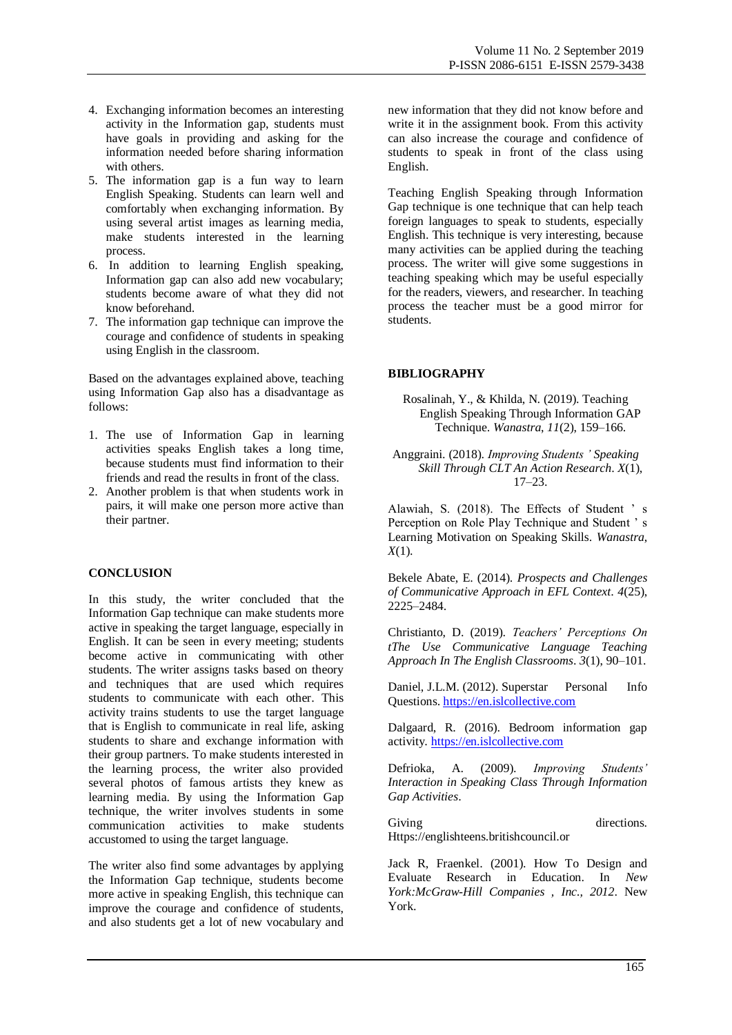- 4. Exchanging information becomes an interesting activity in the Information gap, students must have goals in providing and asking for the information needed before sharing information with others.
- 5. The information gap is a fun way to learn English Speaking. Students can learn well and comfortably when exchanging information. By using several artist images as learning media, make students interested in the learning process.
- 6. In addition to learning English speaking, Information gap can also add new vocabulary; students become aware of what they did not know beforehand.
- 7. The information gap technique can improve the courage and confidence of students in speaking using English in the classroom.

Based on the advantages explained above, teaching using Information Gap also has a disadvantage as follows:

- 1. The use of Information Gap in learning activities speaks English takes a long time, because students must find information to their friends and read the results in front of the class.
- 2. Another problem is that when students work in pairs, it will make one person more active than their partner.

#### **CONCLUSION**

In this study, the writer concluded that the Information Gap technique can make students more active in speaking the target language, especially in English. It can be seen in every meeting; students become active in communicating with other students. The writer assigns tasks based on theory and techniques that are used which requires students to communicate with each other. This activity trains students to use the target language that is English to communicate in real life, asking students to share and exchange information with their group partners. To make students interested in the learning process, the writer also provided several photos of famous artists they knew as learning media. By using the Information Gap technique, the writer involves students in some communication activities to make students accustomed to using the target language.

The writer also find some advantages by applying the Information Gap technique, students become more active in speaking English, this technique can improve the courage and confidence of students, and also students get a lot of new vocabulary and new information that they did not know before and write it in the assignment book. From this activity can also increase the courage and confidence of students to speak in front of the class using English.

Teaching English Speaking through Information Gap technique is one technique that can help teach foreign languages to speak to students, especially English. This technique is very interesting, because many activities can be applied during the teaching process. The writer will give some suggestions in teaching speaking which may be useful especially for the readers, viewers, and researcher. In teaching process the teacher must be a good mirror for students.

## **BIBLIOGRAPHY**

- Rosalinah, Y., & Khilda, N. (2019). Teaching English Speaking Through Information GAP Technique. *Wanastra*, *11*(2), 159–166.
- Anggraini. (2018). *Improving Students ' Speaking Skill Through CLT An Action Research*. *X*(1), 17–23.

Alawiah, S. (2018). The Effects of Student ' s Perception on Role Play Technique and Student ' s Learning Motivation on Speaking Skills. *Wanastra*, *X*(1).

Bekele Abate, E. (2014). *Prospects and Challenges of Communicative Approach in EFL Context*. *4*(25), 2225–2484.

Christianto, D. (2019). *Teachers' Perceptions On tThe Use Communicative Language Teaching Approach In The English Classrooms*. *3*(1), 90–101.

Daniel, J.L.M. (2012). Superstar Personal Info Questions[. https://en.islcollective.com](https://en.islcollective.com/)

Dalgaard, R. (2016). Bedroom information gap activity. [https://en.islcollective.com](https://en.islcollective.com/)

Defrioka, A. (2009). *Improving Students' Interaction in Speaking Class Through Information Gap Activities*.

Giving directions. Https://englishteens.britishcouncil.or

Jack R, Fraenkel. (2001). How To Design and Evaluate Research in Education. In *New York:McGraw-Hill Companies , Inc., 2012*. New York.